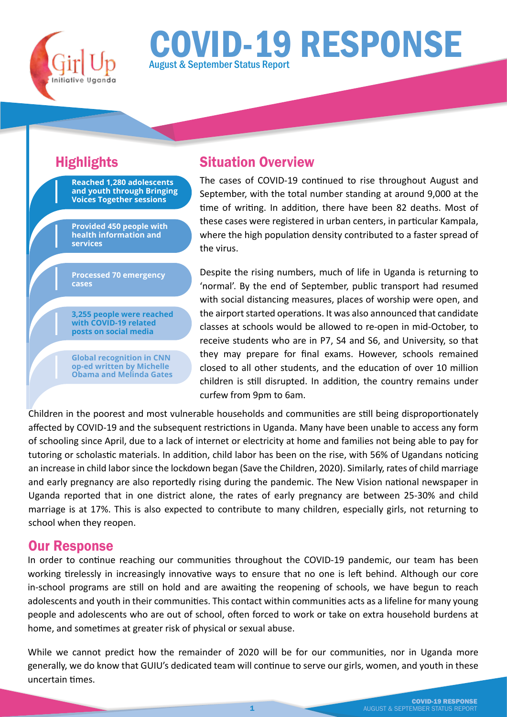

# COVID-19 RESPONSE August & September Status Report

**Reached 1,280 adolescents and youth through Bringing Voices Together sessions**

**Provided 450 people with health information and services** 

**Processed 70 emergency cases**

**3,255 people were reached with COVID-19 related posts on social media**

**Global recognition in CNN op-ed written by Michelle Obama and Melinda Gates** 

## Highlights Situation Overview

The cases of COVID-19 continued to rise throughout August and September, with the total number standing at around 9,000 at the time of writing. In addition, there have been 82 deaths. Most of these cases were registered in urban centers, in particular Kampala, where the high population density contributed to a faster spread of the virus.

Despite the rising numbers, much of life in Uganda is returning to 'normal'. By the end of September, public transport had resumed with social distancing measures, places of worship were open, and the airport started operations. It was also announced that candidate classes at schools would be allowed to re-open in mid-October, to receive students who are in P7, S4 and S6, and University, so that they may prepare for final exams. However, schools remained closed to all other students, and the education of over 10 million children is still disrupted. In addition, the country remains under curfew from 9pm to 6am.

Children in the poorest and most vulnerable households and communities are still being disproportionately affected by COVID-19 and the subsequent restrictions in Uganda. Many have been unable to access any form of schooling since April, due to a lack of internet or electricity at home and families not being able to pay for tutoring or scholastic materials. In addition, child labor has been on the rise, with 56% of Ugandans noticing an increase in child labor since the lockdown began (Save the Children, 2020). Similarly, rates of child marriage and early pregnancy are also reportedly rising during the pandemic. The New Vision national newspaper in Uganda reported that in one district alone, the rates of early pregnancy are between 25-30% and child marriage is at 17%. This is also expected to contribute to many children, especially girls, not returning to school when they reopen.

#### Our Response

In order to continue reaching our communities throughout the COVID-19 pandemic, our team has been working tirelessly in increasingly innovative ways to ensure that no one is left behind. Although our core in-school programs are still on hold and are awaiting the reopening of schools, we have begun to reach adolescents and youth in their communities. This contact within communities acts as a lifeline for many young people and adolescents who are out of school, often forced to work or take on extra household burdens at home, and sometimes at greater risk of physical or sexual abuse.

While we cannot predict how the remainder of 2020 will be for our communities, nor in Uganda more generally, we do know that GUIU's dedicated team will continue to serve our girls, women, and youth in these uncertain times.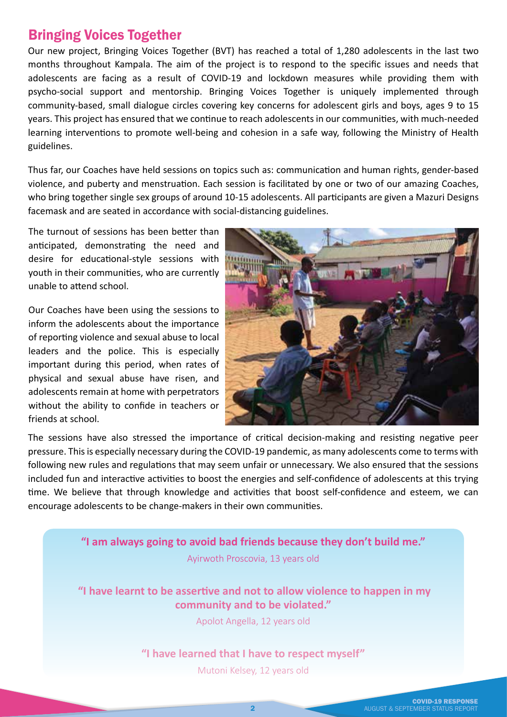#### Bringing Voices Together

Our new project, Bringing Voices Together (BVT) has reached a total of 1,280 adolescents in the last two months throughout Kampala. The aim of the project is to respond to the specific issues and needs that adolescents are facing as a result of COVID-19 and lockdown measures while providing them with psycho-social support and mentorship. Bringing Voices Together is uniquely implemented through community-based, small dialogue circles covering key concerns for adolescent girls and boys, ages 9 to 15 years. This project has ensured that we continue to reach adolescents in our communities, with much-needed learning interventions to promote well-being and cohesion in a safe way, following the Ministry of Health guidelines.

Thus far, our Coaches have held sessions on topics such as: communication and human rights, gender-based violence, and puberty and menstruation. Each session is facilitated by one or two of our amazing Coaches, who bring together single sex groups of around 10-15 adolescents. All participants are given a Mazuri Designs facemask and are seated in accordance with social-distancing guidelines.

The turnout of sessions has been better than anticipated, demonstrating the need and desire for educational-style sessions with youth in their communities, who are currently unable to attend school.

Our Coaches have been using the sessions to inform the adolescents about the importance of reporting violence and sexual abuse to local leaders and the police. This is especially important during this period, when rates of physical and sexual abuse have risen, and adolescents remain at home with perpetrators without the ability to confide in teachers or friends at school.



The sessions have also stressed the importance of critical decision-making and resisting negative peer pressure. This is especially necessary during the COVID-19 pandemic, as many adolescents come to terms with following new rules and regulations that may seem unfair or unnecessary. We also ensured that the sessions included fun and interactive activities to boost the energies and self-confidence of adolescents at this trying time. We believe that through knowledge and activities that boost self-confidence and esteem, we can encourage adolescents to be change-makers in their own communities.

> **"I am always going to avoid bad friends because they don't build me."** Ayirwoth Proscovia, 13 years old

**"I have learnt to be asser�ve and not to allow violence to happen in my community and to be violated."** 

Apolot Angella, 12 years old

**"I have learned that I have to respect myself"** 

Mutoni Kelsey, 12 years old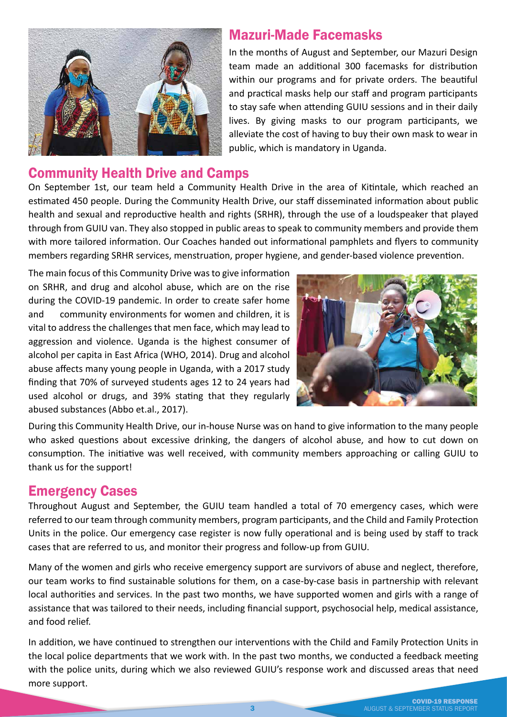

#### Mazuri-Made Facemasks

In the months of August and September, our Mazuri Design team made an additional 300 facemasks for distribution within our programs and for private orders. The beautiful and practical masks help our staff and program participants to stay safe when attending GUIU sessions and in their daily lives. By giving masks to our program participants, we alleviate the cost of having to buy their own mask to wear in public, which is mandatory in Uganda.

#### Community Health Drive and Camps

On September 1st, our team held a Community Health Drive in the area of Kitintale, which reached an estimated 450 people. During the Community Health Drive, our staff disseminated information about public health and sexual and reproductive health and rights (SRHR), through the use of a loudspeaker that played through from GUIU van. They also stopped in public areas to speak to community members and provide them with more tailored information. Our Coaches handed out informational pamphlets and flyers to community members regarding SRHR services, menstruation, proper hygiene, and gender-based violence prevention.

The main focus of this Community Drive was to give information on SRHR, and drug and alcohol abuse, which are on the rise during the COVID-19 pandemic. In order to create safer home and community environments for women and children, it is vital to address the challenges that men face, which may lead to aggression and violence. Uganda is the highest consumer of alcohol per capita in East Africa (WHO, 2014). Drug and alcohol abuse affects many young people in Uganda, with a 2017 study finding that 70% of surveyed students ages 12 to 24 years had used alcohol or drugs, and 39% stating that they regularly abused substances (Abbo et.al., 2017).



During this Community Health Drive, our in-house Nurse was on hand to give information to the many people who asked questions about excessive drinking, the dangers of alcohol abuse, and how to cut down on consumption. The initiative was well received, with community members approaching or calling GUIU to thank us for the support!

#### Emergency Cases

Throughout August and September, the GUIU team handled a total of 70 emergency cases, which were referred to our team through community members, program participants, and the Child and Family Protection Units in the police. Our emergency case register is now fully operational and is being used by staff to track cases that are referred to us, and monitor their progress and follow-up from GUIU.

Many of the women and girls who receive emergency support are survivors of abuse and neglect, therefore, our team works to find sustainable solutions for them, on a case-by-case basis in partnership with relevant local authorities and services. In the past two months, we have supported women and girls with a range of assistance that was tailored to their needs, including financial support, psychosocial help, medical assistance, and food relief.

In addition, we have continued to strengthen our interventions with the Child and Family Protection Units in the local police departments that we work with. In the past two months, we conducted a feedback meeting with the police units, during which we also reviewed GUIU's response work and discussed areas that need more support.